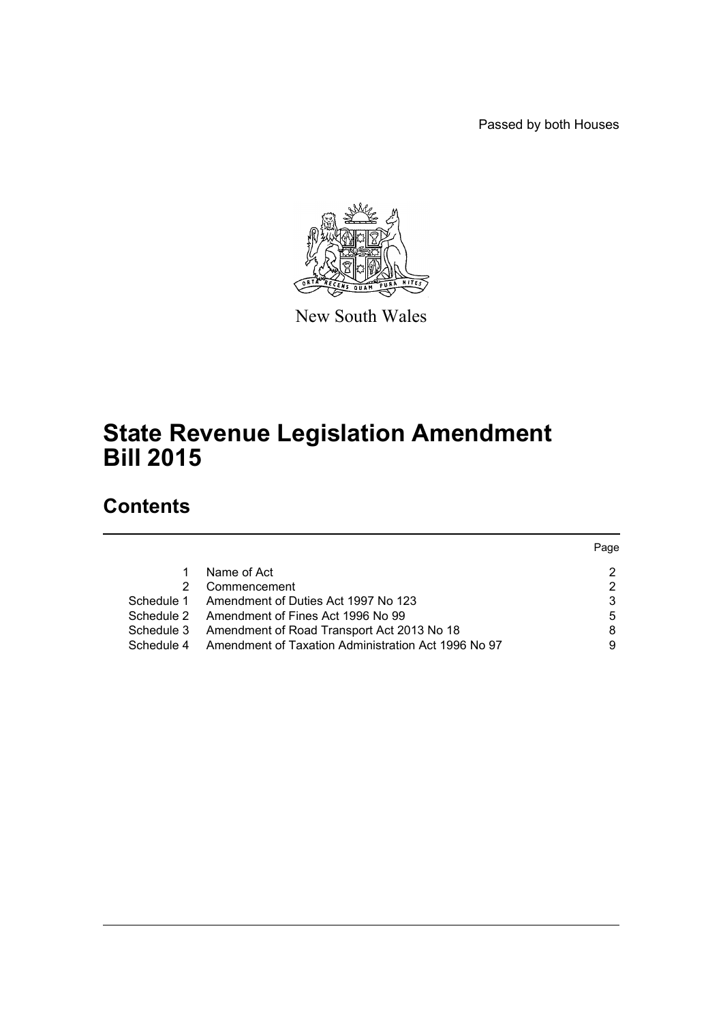Passed by both Houses



New South Wales

# **State Revenue Legislation Amendment Bill 2015**

# **Contents**

|            |                                                     | Page |
|------------|-----------------------------------------------------|------|
|            | Name of Act                                         | 2    |
|            | Commencement                                        | 2    |
| Schedule 1 | Amendment of Duties Act 1997 No 123                 | 3    |
|            | Schedule 2 Amendment of Fines Act 1996 No 99        | 5    |
| Schedule 3 | Amendment of Road Transport Act 2013 No 18          | 8    |
| Schedule 4 | Amendment of Taxation Administration Act 1996 No 97 | 9    |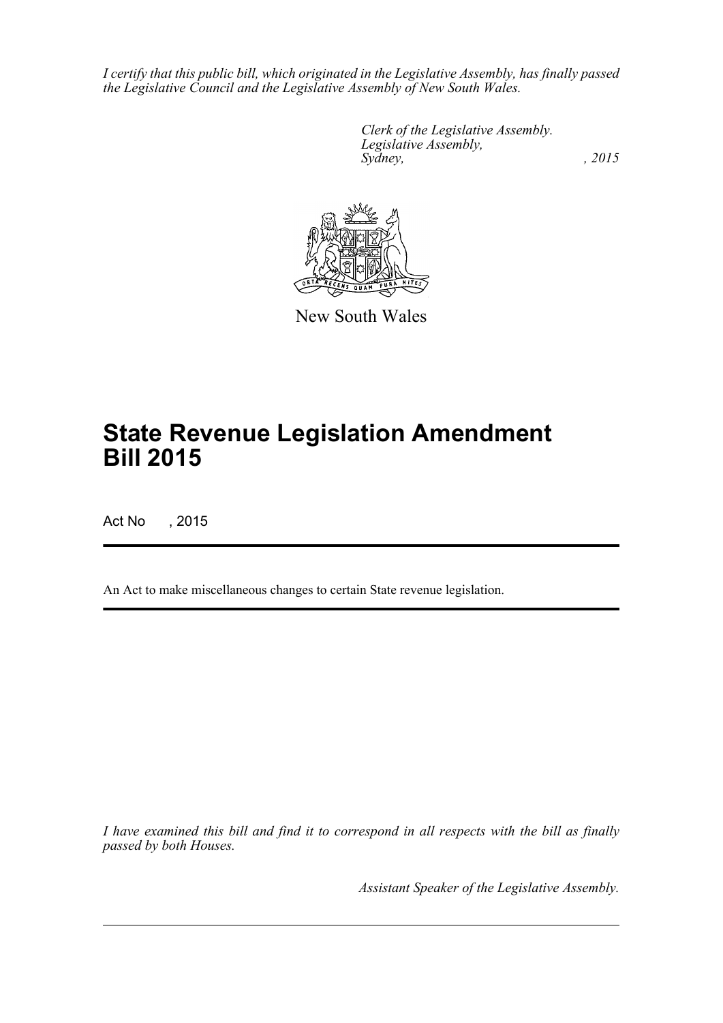*I certify that this public bill, which originated in the Legislative Assembly, has finally passed the Legislative Council and the Legislative Assembly of New South Wales.*

> *Clerk of the Legislative Assembly. Legislative Assembly, Sydney,* , 2015



New South Wales

# **State Revenue Legislation Amendment Bill 2015**

Act No , 2015

An Act to make miscellaneous changes to certain State revenue legislation.

*I have examined this bill and find it to correspond in all respects with the bill as finally passed by both Houses.*

*Assistant Speaker of the Legislative Assembly.*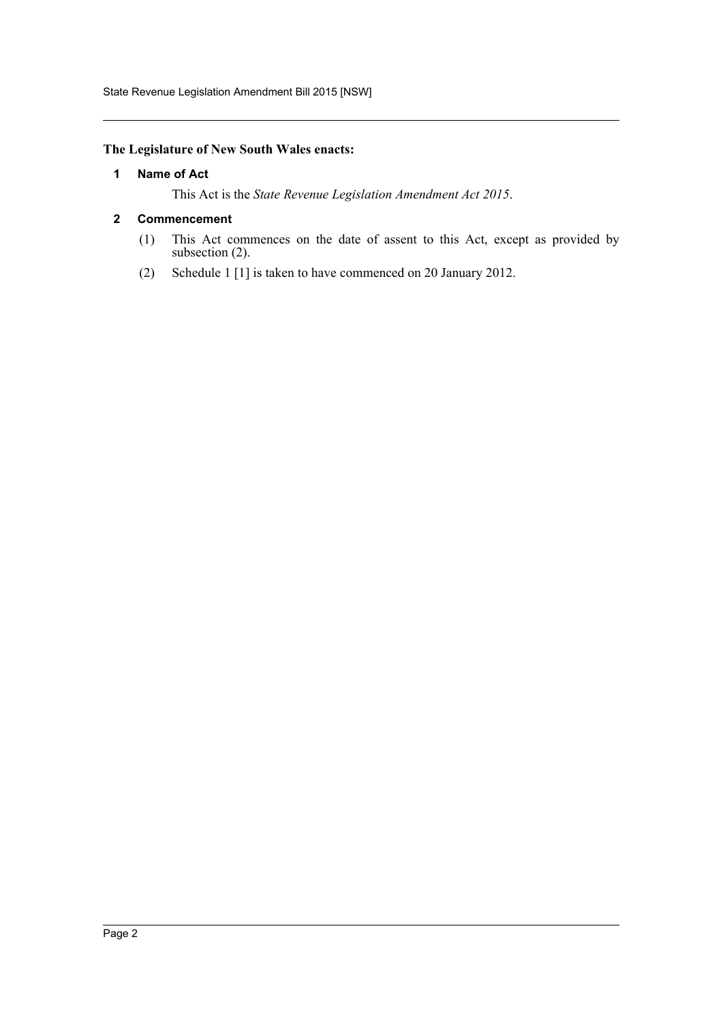State Revenue Legislation Amendment Bill 2015 [NSW]

### <span id="page-2-0"></span>**The Legislature of New South Wales enacts:**

#### **1 Name of Act**

This Act is the *State Revenue Legislation Amendment Act 2015*.

#### <span id="page-2-1"></span>**2 Commencement**

- (1) This Act commences on the date of assent to this Act, except as provided by subsection (2).
- (2) Schedule 1 [1] is taken to have commenced on 20 January 2012.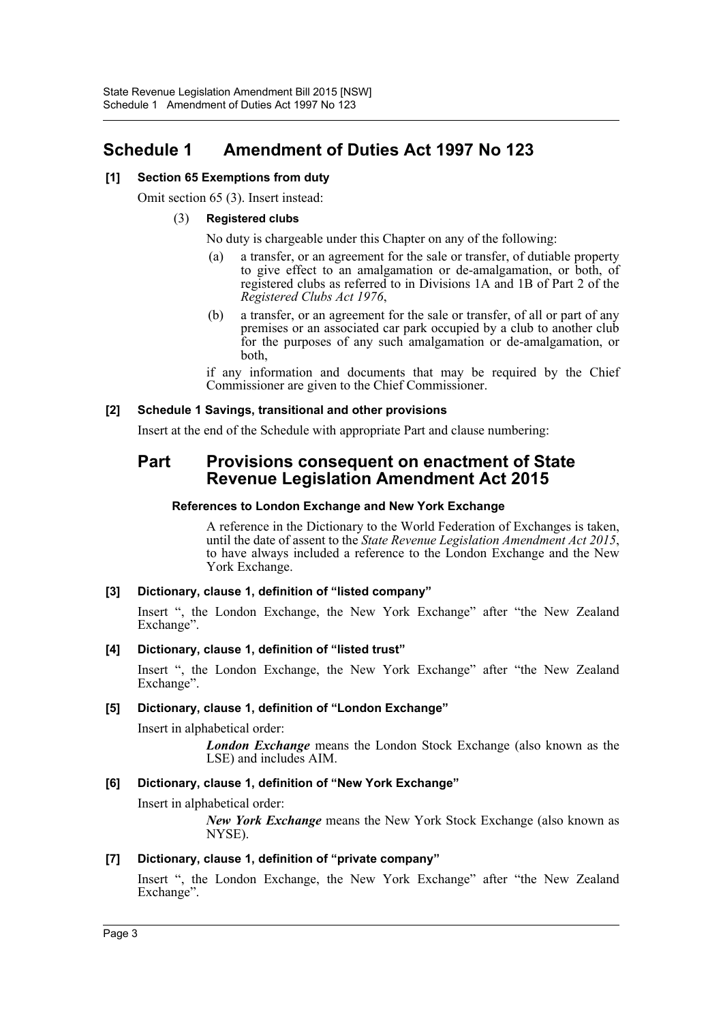# <span id="page-3-0"></span>**Schedule 1 Amendment of Duties Act 1997 No 123**

# **[1] Section 65 Exemptions from duty**

Omit section 65 (3). Insert instead:

#### (3) **Registered clubs**

No duty is chargeable under this Chapter on any of the following:

- (a) a transfer, or an agreement for the sale or transfer, of dutiable property to give effect to an amalgamation or de-amalgamation, or both, of registered clubs as referred to in Divisions 1A and 1B of Part 2 of the *Registered Clubs Act 1976*,
- (b) a transfer, or an agreement for the sale or transfer, of all or part of any premises or an associated car park occupied by a club to another club for the purposes of any such amalgamation or de-amalgamation, or both,

if any information and documents that may be required by the Chief Commissioner are given to the Chief Commissioner.

#### **[2] Schedule 1 Savings, transitional and other provisions**

Insert at the end of the Schedule with appropriate Part and clause numbering:

# **Part Provisions consequent on enactment of State Revenue Legislation Amendment Act 2015**

### **References to London Exchange and New York Exchange**

A reference in the Dictionary to the World Federation of Exchanges is taken, until the date of assent to the *State Revenue Legislation Amendment Act 2015*, to have always included a reference to the London Exchange and the New York Exchange.

# **[3] Dictionary, clause 1, definition of "listed company"**

Insert ", the London Exchange, the New York Exchange" after "the New Zealand Exchange".

#### **[4] Dictionary, clause 1, definition of "listed trust"**

Insert ", the London Exchange, the New York Exchange" after "the New Zealand Exchange".

# **[5] Dictionary, clause 1, definition of "London Exchange"**

Insert in alphabetical order:

*London Exchange* means the London Stock Exchange (also known as the LSE) and includes AIM.

# **[6] Dictionary, clause 1, definition of "New York Exchange"**

Insert in alphabetical order:

*New York Exchange* means the New York Stock Exchange (also known as NYSE).

# **[7] Dictionary, clause 1, definition of "private company"**

Insert ", the London Exchange, the New York Exchange" after "the New Zealand Exchange".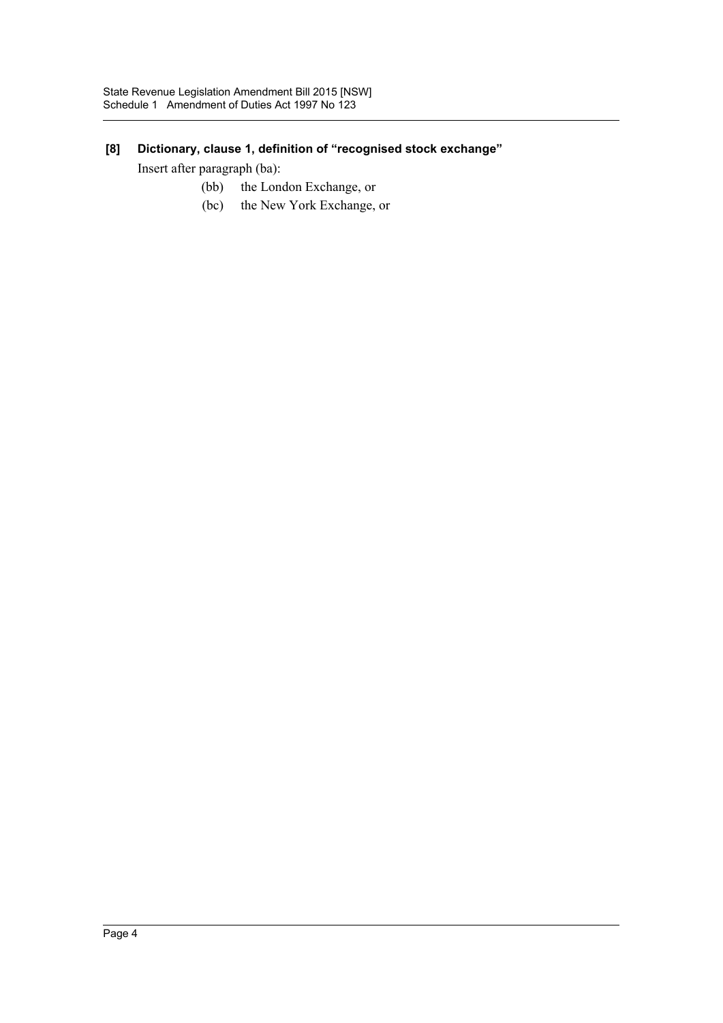# **[8] Dictionary, clause 1, definition of "recognised stock exchange"**

Insert after paragraph (ba):

- (bb) the London Exchange, or
- (bc) the New York Exchange, or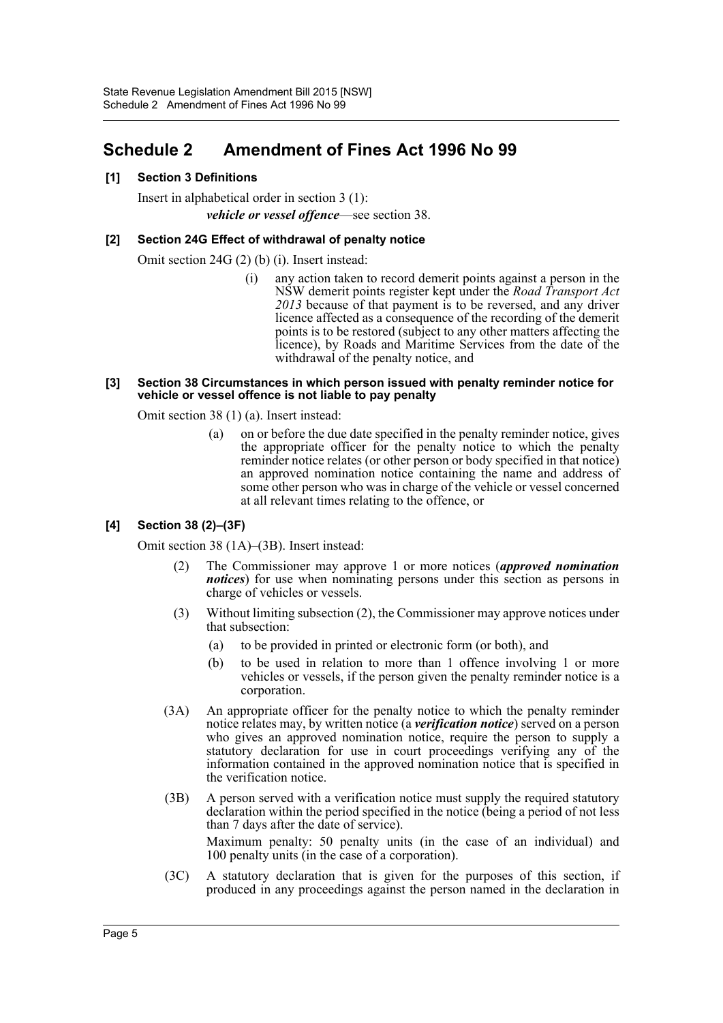# <span id="page-5-0"></span>**Schedule 2 Amendment of Fines Act 1996 No 99**

# **[1] Section 3 Definitions**

Insert in alphabetical order in section 3 (1): *vehicle or vessel offence*—see section 38.

#### **[2] Section 24G Effect of withdrawal of penalty notice**

Omit section 24G (2) (b) (i). Insert instead:

(i) any action taken to record demerit points against a person in the NSW demerit points register kept under the *Road Transport Act 2013* because of that payment is to be reversed, and any driver licence affected as a consequence of the recording of the demerit points is to be restored (subject to any other matters affecting the licence), by Roads and Maritime Services from the date of the withdrawal of the penalty notice, and

#### **[3] Section 38 Circumstances in which person issued with penalty reminder notice for vehicle or vessel offence is not liable to pay penalty**

Omit section 38 (1) (a). Insert instead:

(a) on or before the due date specified in the penalty reminder notice, gives the appropriate officer for the penalty notice to which the penalty reminder notice relates (or other person or body specified in that notice) an approved nomination notice containing the name and address of some other person who was in charge of the vehicle or vessel concerned at all relevant times relating to the offence, or

# **[4] Section 38 (2)–(3F)**

Omit section 38 (1A)–(3B). Insert instead:

- (2) The Commissioner may approve 1 or more notices (*approved nomination notices*) for use when nominating persons under this section as persons in charge of vehicles or vessels.
- (3) Without limiting subsection (2), the Commissioner may approve notices under that subsection:
	- (a) to be provided in printed or electronic form (or both), and
	- (b) to be used in relation to more than 1 offence involving 1 or more vehicles or vessels, if the person given the penalty reminder notice is a corporation.
- (3A) An appropriate officer for the penalty notice to which the penalty reminder notice relates may, by written notice (a *verification notice*) served on a person who gives an approved nomination notice, require the person to supply a statutory declaration for use in court proceedings verifying any of the information contained in the approved nomination notice that is specified in the verification notice.
- (3B) A person served with a verification notice must supply the required statutory declaration within the period specified in the notice (being a period of not less than 7 days after the date of service).

Maximum penalty: 50 penalty units (in the case of an individual) and 100 penalty units (in the case of a corporation).

(3C) A statutory declaration that is given for the purposes of this section, if produced in any proceedings against the person named in the declaration in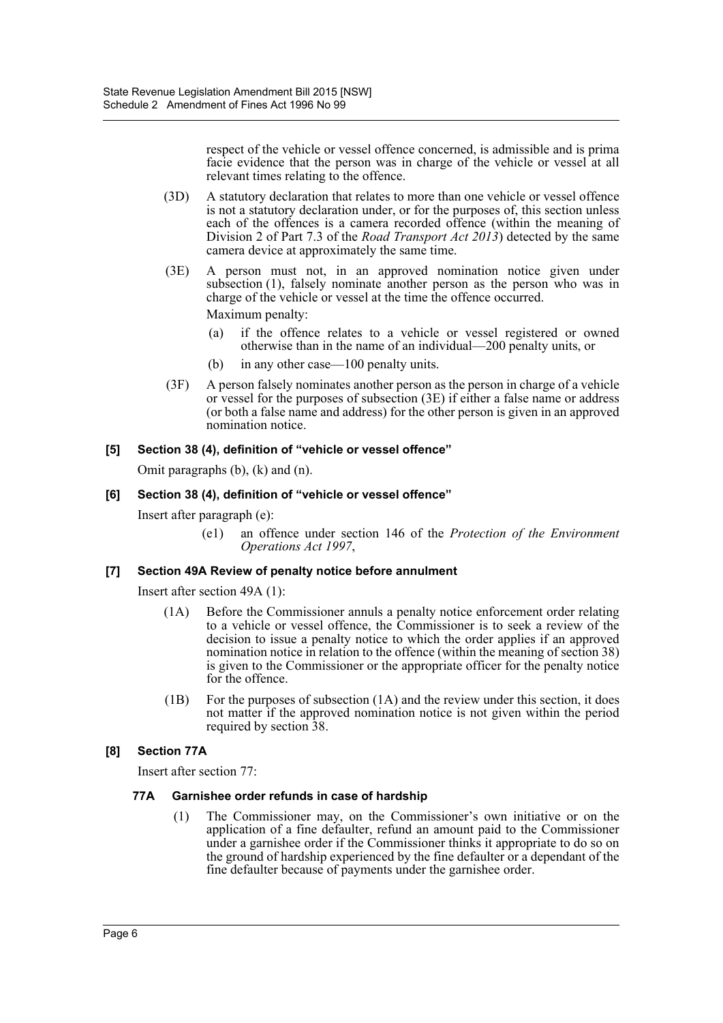respect of the vehicle or vessel offence concerned, is admissible and is prima facie evidence that the person was in charge of the vehicle or vessel at all relevant times relating to the offence.

- (3D) A statutory declaration that relates to more than one vehicle or vessel offence is not a statutory declaration under, or for the purposes of, this section unless each of the offences is a camera recorded offence (within the meaning of Division 2 of Part 7.3 of the *Road Transport Act 2013*) detected by the same camera device at approximately the same time.
- (3E) A person must not, in an approved nomination notice given under subsection (1), falsely nominate another person as the person who was in charge of the vehicle or vessel at the time the offence occurred. Maximum penalty:
	- (a) if the offence relates to a vehicle or vessel registered or owned otherwise than in the name of an individual—200 penalty units, or
	- (b) in any other case—100 penalty units.
- (3F) A person falsely nominates another person as the person in charge of a vehicle or vessel for the purposes of subsection (3E) if either a false name or address (or both a false name and address) for the other person is given in an approved nomination notice.

#### **[5] Section 38 (4), definition of "vehicle or vessel offence"**

Omit paragraphs (b), (k) and (n).

#### **[6] Section 38 (4), definition of "vehicle or vessel offence"**

Insert after paragraph (e):

(e1) an offence under section 146 of the *Protection of the Environment Operations Act 1997*,

# **[7] Section 49A Review of penalty notice before annulment**

Insert after section 49A (1):

- (1A) Before the Commissioner annuls a penalty notice enforcement order relating to a vehicle or vessel offence, the Commissioner is to seek a review of the decision to issue a penalty notice to which the order applies if an approved nomination notice in relation to the offence (within the meaning of section 38) is given to the Commissioner or the appropriate officer for the penalty notice for the offence.
- (1B) For the purposes of subsection (1A) and the review under this section, it does not matter if the approved nomination notice is not given within the period required by section 38.

#### **[8] Section 77A**

Insert after section 77:

#### **77A Garnishee order refunds in case of hardship**

(1) The Commissioner may, on the Commissioner's own initiative or on the application of a fine defaulter, refund an amount paid to the Commissioner under a garnishee order if the Commissioner thinks it appropriate to do so on the ground of hardship experienced by the fine defaulter or a dependant of the fine defaulter because of payments under the garnishee order.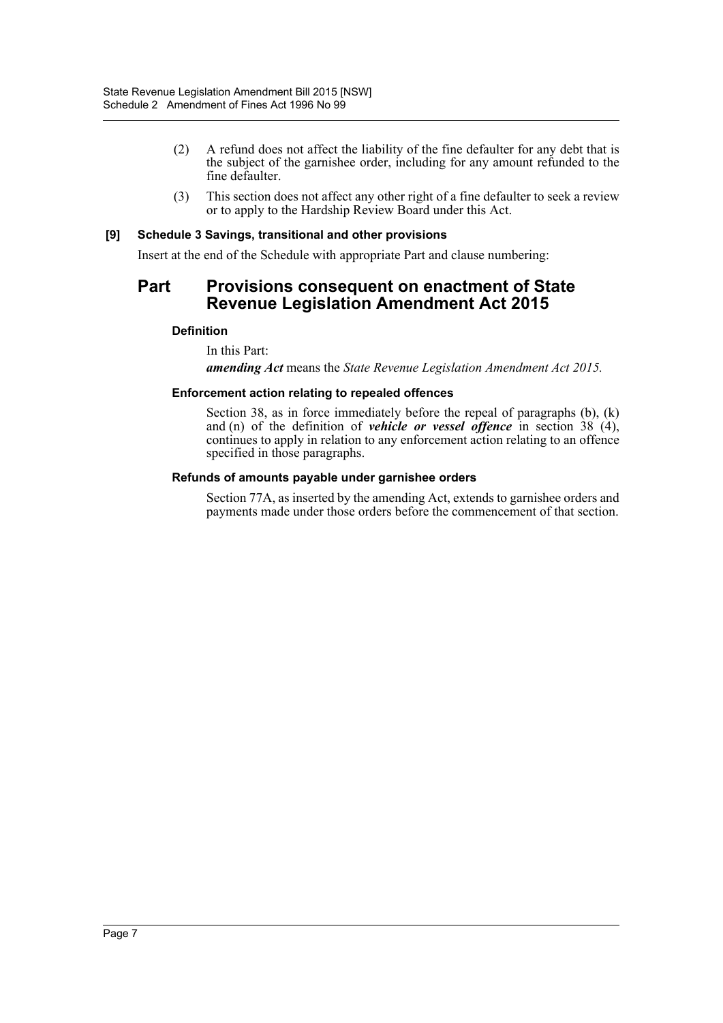- (2) A refund does not affect the liability of the fine defaulter for any debt that is the subject of the garnishee order, including for any amount refunded to the fine defaulter.
- (3) This section does not affect any other right of a fine defaulter to seek a review or to apply to the Hardship Review Board under this Act.

#### **[9] Schedule 3 Savings, transitional and other provisions**

Insert at the end of the Schedule with appropriate Part and clause numbering:

# **Part Provisions consequent on enactment of State Revenue Legislation Amendment Act 2015**

#### **Definition**

In this Part:

*amending Act* means the *State Revenue Legislation Amendment Act 2015.*

#### **Enforcement action relating to repealed offences**

Section 38, as in force immediately before the repeal of paragraphs (b), (k) and (n) of the definition of *vehicle or vessel offence* in section 38 (4), continues to apply in relation to any enforcement action relating to an offence specified in those paragraphs.

#### **Refunds of amounts payable under garnishee orders**

Section 77A, as inserted by the amending Act, extends to garnishee orders and payments made under those orders before the commencement of that section.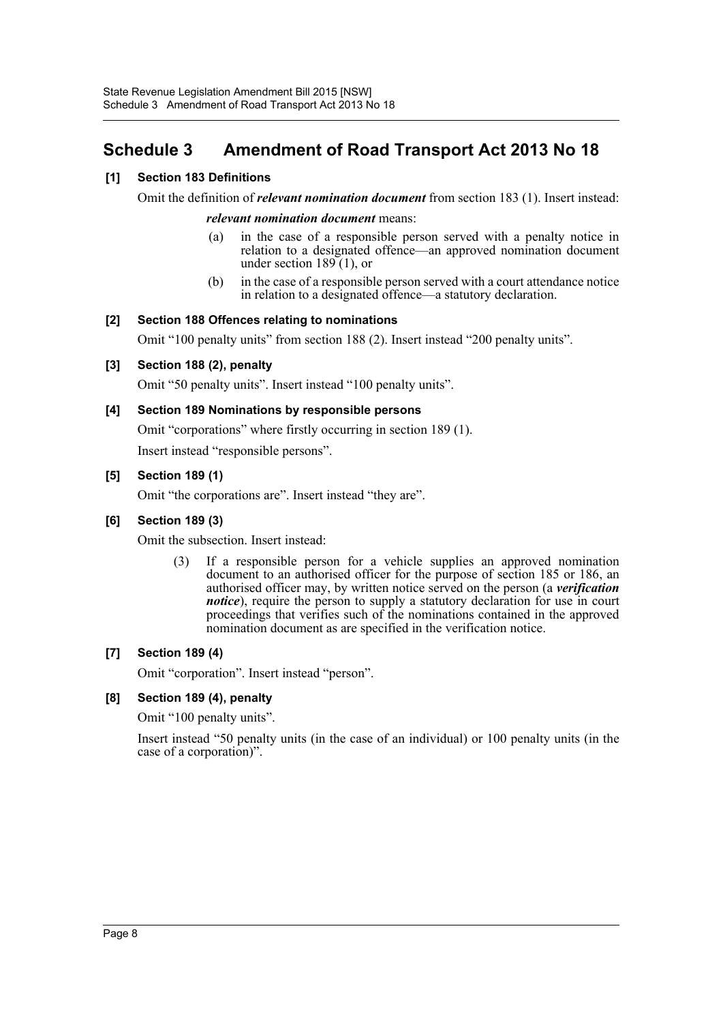# <span id="page-8-0"></span>**Schedule 3 Amendment of Road Transport Act 2013 No 18**

# **[1] Section 183 Definitions**

Omit the definition of *relevant nomination document* from section 183 (1). Insert instead:

#### *relevant nomination document* means:

- (a) in the case of a responsible person served with a penalty notice in relation to a designated offence—an approved nomination document under section  $189(1)$ , or
- (b) in the case of a responsible person served with a court attendance notice in relation to a designated offence—a statutory declaration.

#### **[2] Section 188 Offences relating to nominations**

Omit "100 penalty units" from section 188 (2). Insert instead "200 penalty units".

#### **[3] Section 188 (2), penalty**

Omit "50 penalty units". Insert instead "100 penalty units".

#### **[4] Section 189 Nominations by responsible persons**

Omit "corporations" where firstly occurring in section 189 (1). Insert instead "responsible persons".

#### **[5] Section 189 (1)**

Omit "the corporations are". Insert instead "they are".

#### **[6] Section 189 (3)**

Omit the subsection. Insert instead:

(3) If a responsible person for a vehicle supplies an approved nomination document to an authorised officer for the purpose of section 185 or 186, an authorised officer may, by written notice served on the person (a *verification notice*), require the person to supply a statutory declaration for use in court proceedings that verifies such of the nominations contained in the approved nomination document as are specified in the verification notice.

# **[7] Section 189 (4)**

Omit "corporation". Insert instead "person".

#### **[8] Section 189 (4), penalty**

Omit "100 penalty units".

Insert instead "50 penalty units (in the case of an individual) or 100 penalty units (in the case of a corporation)".